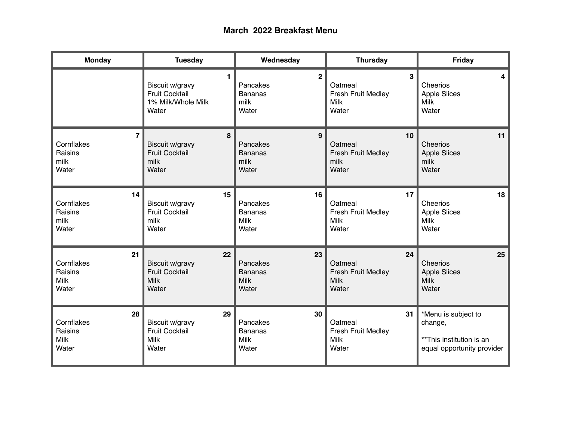## **March 2022 Breakfast Menu**

| <b>Monday</b>                                       | <b>Tuesday</b>                                                         | Wednesday                                                | <b>Thursday</b>                                                    | Friday                                                                                   |
|-----------------------------------------------------|------------------------------------------------------------------------|----------------------------------------------------------|--------------------------------------------------------------------|------------------------------------------------------------------------------------------|
|                                                     | 1.                                                                     | 2 <sup>1</sup>                                           | 3                                                                  | $\overline{\mathbf{4}}$                                                                  |
|                                                     | Biscuit w/gravy                                                        | Pancakes                                                 | Oatmeal                                                            | Cheerios                                                                                 |
|                                                     | <b>Fruit Cocktail</b>                                                  | <b>Bananas</b>                                           | Fresh Fruit Medley                                                 | <b>Apple Slices</b>                                                                      |
|                                                     | 1% Milk/Whole Milk                                                     | milk                                                     | <b>Milk</b>                                                        | <b>Milk</b>                                                                              |
|                                                     | Water                                                                  | Water                                                    | Water                                                              | Water                                                                                    |
| $\overline{\mathbf{r}}$                             | 8                                                                      | 9                                                        | 10                                                                 | 11                                                                                       |
| Cornflakes                                          | Biscuit w/gravy                                                        | Pancakes                                                 | Oatmeal                                                            | Cheerios                                                                                 |
| Raisins                                             | <b>Fruit Cocktail</b>                                                  | <b>Bananas</b>                                           | <b>Fresh Fruit Medley</b>                                          | <b>Apple Slices</b>                                                                      |
| milk                                                | milk                                                                   | milk                                                     | milk                                                               | milk                                                                                     |
| Water                                               | Water                                                                  | Water                                                    | Water                                                              | Water                                                                                    |
| 14                                                  | 15 <sub>1</sub>                                                        | 16                                                       | 17                                                                 | 18                                                                                       |
| Cornflakes                                          | Biscuit w/gravy                                                        | Pancakes                                                 | Oatmeal                                                            | Cheerios                                                                                 |
| Raisins                                             | <b>Fruit Cocktail</b>                                                  | <b>Bananas</b>                                           | Fresh Fruit Medley                                                 | <b>Apple Slices</b>                                                                      |
| milk                                                | milk                                                                   | <b>Milk</b>                                              | <b>Milk</b>                                                        | <b>Milk</b>                                                                              |
| Water                                               | Water                                                                  | Water                                                    | Water                                                              | Water                                                                                    |
| 21                                                  | 22                                                                     | 23                                                       | 24                                                                 | 25                                                                                       |
| Cornflakes                                          | <b>Biscuit w/gravy</b>                                                 | Pancakes                                                 | Oatmeal                                                            | Cheerios                                                                                 |
| Raisins                                             | <b>Fruit Cocktail</b>                                                  | Bananas                                                  | <b>Fresh Fruit Medley</b>                                          | <b>Apple Slices</b>                                                                      |
| <b>Milk</b>                                         | <b>Milk</b>                                                            | <b>Milk</b>                                              | <b>Milk</b>                                                        | <b>Milk</b>                                                                              |
| Water                                               | Water                                                                  | Water                                                    | Water                                                              | Water                                                                                    |
| 28<br>Cornflakes<br>Raisins<br><b>Milk</b><br>Water | 29<br>Biscuit w/gravy<br><b>Fruit Cocktail</b><br><b>Milk</b><br>Water | 30<br>Pancakes<br><b>Bananas</b><br><b>Milk</b><br>Water | 31<br>Oatmeal<br><b>Fresh Fruit Medley</b><br><b>Milk</b><br>Water | *Menu is subject to<br>change,<br>**This institution is an<br>equal opportunity provider |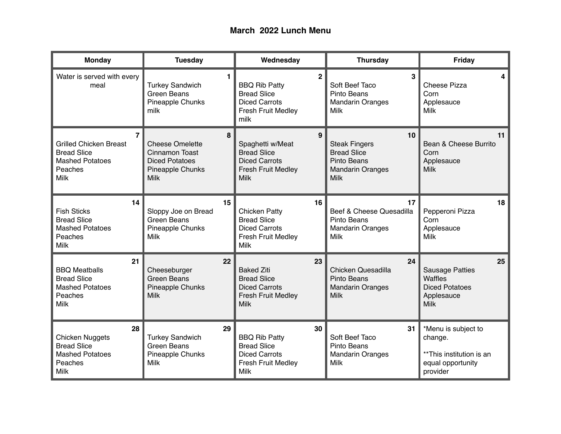## **March 2022 Lunch Menu**

| <b>Monday</b>                                                                                                             | <b>Tuesday</b>                                                                                            | Wednesday                                                                                                                  | <b>Thursday</b>                                                                                           | Friday                                                                                        |
|---------------------------------------------------------------------------------------------------------------------------|-----------------------------------------------------------------------------------------------------------|----------------------------------------------------------------------------------------------------------------------------|-----------------------------------------------------------------------------------------------------------|-----------------------------------------------------------------------------------------------|
| Water is served with every<br>meal                                                                                        | 1.<br><b>Turkey Sandwich</b><br><b>Green Beans</b><br>Pineapple Chunks<br>milk                            | $\mathbf{2}$<br><b>BBQ Rib Patty</b><br><b>Bread Slice</b><br><b>Diced Carrots</b><br><b>Fresh Fruit Medley</b><br>milk    | 3<br>Soft Beef Taco<br>Pinto Beans<br><b>Mandarin Oranges</b><br><b>Milk</b>                              | 4<br><b>Cheese Pizza</b><br>Corn<br>Applesauce<br><b>Milk</b>                                 |
| $\overline{7}$<br><b>Grilled Chicken Breast</b><br><b>Bread Slice</b><br><b>Mashed Potatoes</b><br>Peaches<br><b>Milk</b> | 8<br><b>Cheese Omelette</b><br>Cinnamon Toast<br><b>Diced Potatoes</b><br>Pineapple Chunks<br><b>Milk</b> | $\mathbf{9}$<br>Spaghetti w/Meat<br><b>Bread Slice</b><br><b>Diced Carrots</b><br><b>Fresh Fruit Medley</b><br><b>Milk</b> | 10<br><b>Steak Fingers</b><br><b>Bread Slice</b><br>Pinto Beans<br><b>Mandarin Oranges</b><br><b>Milk</b> | 11<br>Bean & Cheese Burrito<br>Corn<br>Applesauce<br><b>Milk</b>                              |
| 14<br><b>Fish Sticks</b><br><b>Bread Slice</b><br><b>Mashed Potatoes</b><br>Peaches<br><b>Milk</b>                        | 15<br>Sloppy Joe on Bread<br><b>Green Beans</b><br>Pineapple Chunks<br>Milk                               | 16<br><b>Chicken Patty</b><br><b>Bread Slice</b><br><b>Diced Carrots</b><br><b>Fresh Fruit Medley</b><br><b>Milk</b>       | 17<br>Beef & Cheese Quesadilla<br>Pinto Beans<br><b>Mandarin Oranges</b><br><b>Milk</b>                   | 18<br>Pepperoni Pizza<br>Corn<br>Applesauce<br>Milk                                           |
| 21<br><b>BBQ Meatballs</b><br><b>Bread Slice</b><br><b>Mashed Potatoes</b><br>Peaches<br>Milk                             | 22<br>Cheeseburger<br><b>Green Beans</b><br>Pineapple Chunks<br>Milk                                      | 23<br><b>Baked Ziti</b><br><b>Bread Slice</b><br><b>Diced Carrots</b><br><b>Fresh Fruit Medley</b><br><b>Milk</b>          | 24<br>Chicken Quesadilla<br>Pinto Beans<br><b>Mandarin Oranges</b><br><b>Milk</b>                         | 25<br><b>Sausage Patties</b><br>Waffles<br><b>Diced Potatoes</b><br>Applesauce<br><b>Milk</b> |
| 28<br><b>Chicken Nuggets</b><br><b>Bread Slice</b><br><b>Mashed Potatoes</b><br>Peaches<br><b>Milk</b>                    | 29<br><b>Turkey Sandwich</b><br><b>Green Beans</b><br>Pineapple Chunks<br>Milk                            | 30<br><b>BBQ Rib Patty</b><br><b>Bread Slice</b><br><b>Diced Carrots</b><br><b>Fresh Fruit Medley</b><br><b>Milk</b>       | 31<br>Soft Beef Taco<br>Pinto Beans<br><b>Mandarin Oranges</b><br><b>Milk</b>                             | *Menu is subject to<br>change.<br>**This institution is an<br>equal opportunity<br>provider   |